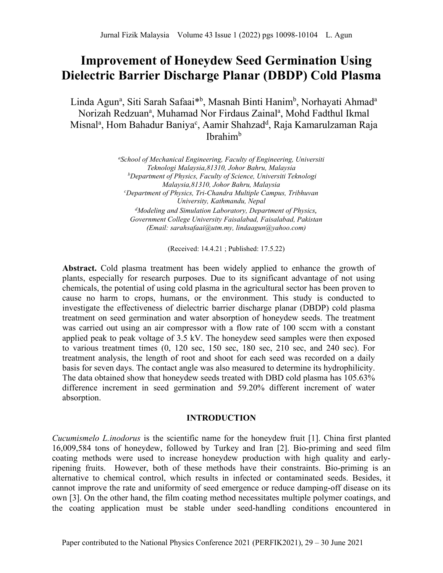# **Improvement of Honeydew Seed Germination Using Dielectric Barrier Discharge Planar (DBDP) Cold Plasma**

Linda Agun<sup>a</sup>, Siti Sarah Safaai<sup>\*b</sup>, Masnah Binti Hanim<sup>b</sup>, Norhayati Ahmad<sup>a</sup> Norizah Redzuan<sup>a</sup>, Muhamad Nor Firdaus Zainal<sup>a</sup>, Mohd Fadthul Ikmal Misnal<sup>a</sup>, Hom Bahadur Baniya<sup>c</sup>, Aamir Shahzad<sup>d</sup>, Raja Kamarulzaman Raja Ibrahim<sup>b</sup>

> *a School of Mechanical Engineering, Faculty of Engineering, Universiti Teknologi Malaysia,81310, Johor Bahru, Malaysia b Department of Physics, Faculty of Science, Universiti Teknologi Malaysia,81310, Johor Bahru, Malaysia c Department of Physics, Tri-Chandra Multiple Campus, Tribhuvan University, Kathmandu, Nepal d Modeling and Simulation Laboratory, Department of Physics, Government College University Faisalabad, Faisalabad, Pakistan (Email: sarahsafaai@utm.my, lindaagun@yahoo.com)*

> > (Received: 14.4.21 ; Published: 17.5.22)

**Abstract.** Cold plasma treatment has been widely applied to enhance the growth of plants, especially for research purposes. Due to its significant advantage of not using chemicals, the potential of using cold plasma in the agricultural sector has been proven to cause no harm to crops, humans, or the environment. This study is conducted to investigate the effectiveness of dielectric barrier discharge planar (DBDP) cold plasma treatment on seed germination and water absorption of honeydew seeds. The treatment was carried out using an air compressor with a flow rate of 100 sccm with a constant applied peak to peak voltage of 3.5 kV. The honeydew seed samples were then exposed to various treatment times (0, 120 sec, 150 sec, 180 sec, 210 sec, and 240 sec). For treatment analysis, the length of root and shoot for each seed was recorded on a daily basis for seven days. The contact angle was also measured to determine its hydrophilicity. The data obtained show that honeydew seeds treated with DBD cold plasma has 105.63% difference increment in seed germination and 59.20% different increment of water absorption.

## **INTRODUCTION**

*Cucumismelo L.inodorus* is the scientific name for the honeydew fruit [1]. China first planted 16,009,584 tons of honeydew, followed by Turkey and Iran [2]. Bio-priming and seed film coating methods were used to increase honeydew production with high quality and earlyripening fruits. However, both of these methods have their constraints. Bio-priming is an alternative to chemical control, which results in infected or contaminated seeds. Besides, it cannot improve the rate and uniformity of seed emergence or reduce damping-off disease on its own [3]. On the other hand, the film coating method necessitates multiple polymer coatings, and the coating application must be stable under seed-handling conditions encountered in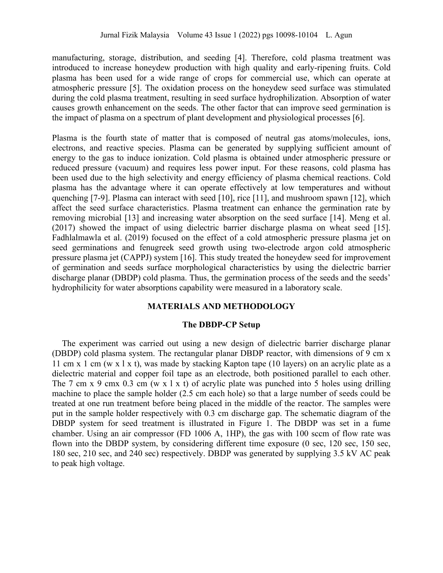manufacturing, storage, distribution, and seeding [4]. Therefore, cold plasma treatment was introduced to increase honeydew production with high quality and early-ripening fruits. Cold plasma has been used for a wide range of crops for commercial use, which can operate at atmospheric pressure [5]. The oxidation process on the honeydew seed surface was stimulated during the cold plasma treatment, resulting in seed surface hydrophilization. Absorption of water causes growth enhancement on the seeds. The other factor that can improve seed germination is the impact of plasma on a spectrum of plant development and physiological processes [6].

Plasma is the fourth state of matter that is composed of neutral gas atoms/molecules, ions, electrons, and reactive species. Plasma can be generated by supplying sufficient amount of energy to the gas to induce ionization. Cold plasma is obtained under atmospheric pressure or reduced pressure (vacuum) and requires less power input. For these reasons, cold plasma has been used due to the high selectivity and energy efficiency of plasma chemical reactions. Cold plasma has the advantage where it can operate effectively at low temperatures and without quenching [7-9]. Plasma can interact with seed [10], rice [11], and mushroom spawn [12], which affect the seed surface characteristics. Plasma treatment can enhance the germination rate by removing microbial [13] and increasing water absorption on the seed surface [14]. Meng et al. (2017) showed the impact of using dielectric barrier discharge plasma on wheat seed [15]. Fadhlalmawla et al. (2019) focused on the effect of a cold atmospheric pressure plasma jet on seed germinations and fenugreek seed growth using two-electrode argon cold atmospheric pressure plasma jet (CAPPJ) system [16]. This study treated the honeydew seed for improvement of germination and seeds surface morphological characteristics by using the dielectric barrier discharge planar (DBDP) cold plasma. Thus, the germination process of the seeds and the seeds' hydrophilicity for water absorptions capability were measured in a laboratory scale.

## **MATERIALS AND METHODOLOGY**

#### **The DBDP-CP Setup**

The experiment was carried out using a new design of dielectric barrier discharge planar (DBDP) cold plasma system. The rectangular planar DBDP reactor, with dimensions of 9 cm x 11 cm x 1 cm (w x l x t), was made by stacking Kapton tape (10 layers) on an acrylic plate as a dielectric material and copper foil tape as an electrode, both positioned parallel to each other. The 7 cm x 9 cmx 0.3 cm (w x 1 x t) of acrylic plate was punched into 5 holes using drilling machine to place the sample holder (2.5 cm each hole) so that a large number of seeds could be treated at one run treatment before being placed in the middle of the reactor. The samples were put in the sample holder respectively with 0.3 cm discharge gap. The schematic diagram of the DBDP system for seed treatment is illustrated in Figure 1. The DBDP was set in a fume chamber. Using an air compressor (FD 1006 A, 1HP), the gas with 100 sccm of flow rate was flown into the DBDP system, by considering different time exposure (0 sec, 120 sec, 150 sec, 180 sec, 210 sec, and 240 sec) respectively. DBDP was generated by supplying 3.5 kV AC peak to peak high voltage.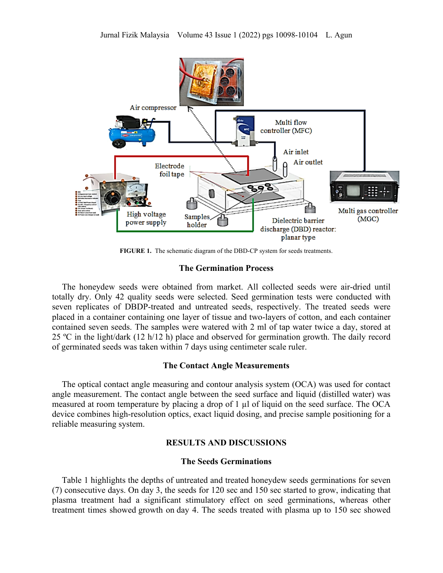

**FIGURE 1.** The schematic diagram of the DBD-CP system for seeds treatments.

## **The Germination Process**

The honeydew seeds were obtained from market. All collected seeds were air-dried until totally dry. Only 42 quality seeds were selected. Seed germination tests were conducted with seven replicates of DBDP-treated and untreated seeds, respectively. The treated seeds were placed in a container containing one layer of tissue and two-layers of cotton, and each container contained seven seeds. The samples were watered with 2 ml of tap water twice a day, stored at 25 ºC in the light/dark (12 h/12 h) place and observed for germination growth. The daily record of germinated seeds was taken within 7 days using centimeter scale ruler.

## **The Contact Angle Measurements**

The optical contact angle measuring and contour analysis system (OCA) was used for contact angle measurement. The contact angle between the seed surface and liquid (distilled water) was measured at room temperature by placing a drop of  $1 \mu$  of liquid on the seed surface. The OCA device combines high-resolution optics, exact liquid dosing, and precise sample positioning for a reliable measuring system.

## **RESULTS AND DISCUSSIONS**

#### **The Seeds Germinations**

Table 1 highlights the depths of untreated and treated honeydew seeds germinations for seven (7) consecutive days. On day 3, the seeds for 120 sec and 150 sec started to grow, indicating that plasma treatment had a significant stimulatory effect on seed germinations, whereas other treatment times showed growth on day 4. The seeds treated with plasma up to 150 sec showed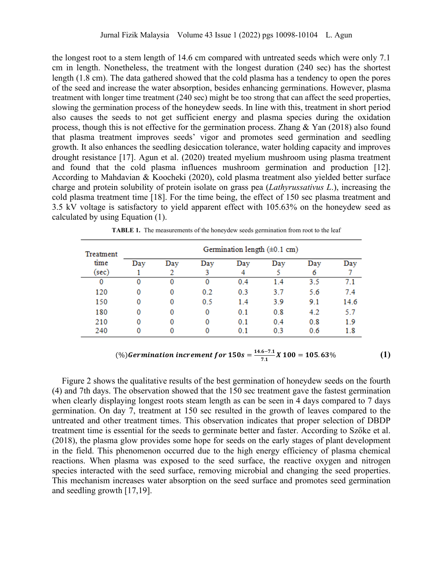the longest root to a stem length of 14.6 cm compared with untreated seeds which were only 7.1 cm in length. Nonetheless, the treatment with the longest duration (240 sec) has the shortest length (1.8 cm). The data gathered showed that the cold plasma has a tendency to open the pores of the seed and increase the water absorption, besides enhancing germinations. However, plasma treatment with longer time treatment (240 sec) might be too strong that can affect the seed properties, slowing the germination process of the honeydew seeds. In line with this, treatment in short period also causes the seeds to not get sufficient energy and plasma species during the oxidation process, though this is not effective for the germination process. Zhang & Yan (2018) also found that plasma treatment improves seeds' vigor and promotes seed germination and seedling growth. It also enhances the seedling desiccation tolerance, water holding capacity and improves drought resistance [17]. Agun et al. (2020) treated myelium mushroom using plasma treatment and found that the cold plasma influences mushroom germination and production [12]. According to Mahdavian & Koocheki (2020), cold plasma treatment also yielded better surface charge and protein solubility of protein isolate on grass pea (*Lathyrussativus L*.), increasing the cold plasma treatment time [18]. For the time being, the effect of 150 sec plasma treatment and 3.5 kV voltage is satisfactory to yield apparent effect with 105.63% on the honeydew seed as calculated by using Equation (1).

| Treatment<br>time | Germination length $(\pm 0.1 \text{ cm})$ |     |     |     |     |     |      |
|-------------------|-------------------------------------------|-----|-----|-----|-----|-----|------|
|                   | Day                                       | Day | Day | Day | Day | Day | Day  |
| (sec)             |                                           |     |     |     |     |     |      |
| 0                 | O                                         | 0   | 0   | 0.4 | 1.4 | 3.5 | 7.1  |
| 120               |                                           | 0   | 0.2 | 0.3 | 3.7 | 5.6 | 7.4  |
| 150               |                                           | 0   | 0.5 | 1.4 | 3.9 | 9.1 | 14.6 |
| 180               | 0                                         | 0   | 0   | 0.1 | 0.8 | 4.2 | 5.7  |
| 210               | 0                                         | 0   | 0   | 0.1 | 0.4 | 0.8 | 1.9  |
| 240               |                                           |     |     | 0.1 | 0.3 | 0.6 | 1.8  |

**TABLE 1.** The measurements of the honeydew seeds germination from root to the leaf

# (%) **Germination increment for**  $150s = \frac{14.6 - 7.1}{7.1}X100 = 105.63\%$  **(1)**

Figure 2 shows the qualitative results of the best germination of honeydew seeds on the fourth (4) and 7th days. The observation showed that the 150 sec treatment gave the fastest germination when clearly displaying longest roots steam length as can be seen in 4 days compared to 7 days germination. On day 7, treatment at 150 sec resulted in the growth of leaves compared to the untreated and other treatment times. This observation indicates that proper selection of DBDP treatment time is essential for the seeds to germinate better and faster. According to Szőke et al. (2018), the plasma glow provides some hope for seeds on the early stages of plant development in the field. This phenomenon occurred due to the high energy efficiency of plasma chemical reactions. When plasma was exposed to the seed surface, the reactive oxygen and nitrogen species interacted with the seed surface, removing microbial and changing the seed properties. This mechanism increases water absorption on the seed surface and promotes seed germination and seedling growth [17,19].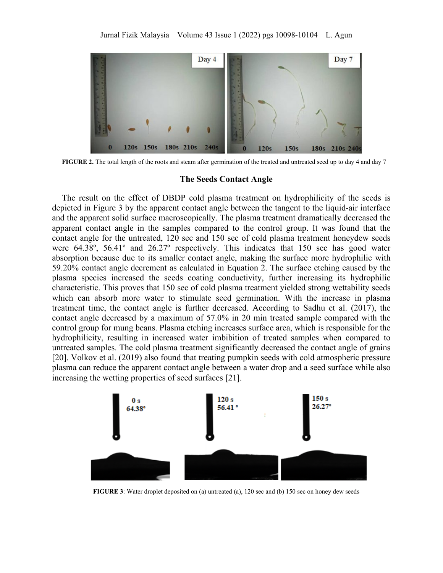

**FIGURE 2.** The total length of the roots and steam after germination of the treated and untreated seed up to day 4 and day 7

#### **The Seeds Contact Angle**

The result on the effect of DBDP cold plasma treatment on hydrophilicity of the seeds is depicted in Figure 3 by the apparent contact angle between the tangent to the liquid-air interface and the apparent solid surface macroscopically. The plasma treatment dramatically decreased the apparent contact angle in the samples compared to the control group. It was found that the contact angle for the untreated, 120 sec and 150 sec of cold plasma treatment honeydew seeds were 64.38º, 56.41º and 26.27º respectively. This indicates that 150 sec has good water absorption because due to its smaller contact angle, making the surface more hydrophilic with 59.20% contact angle decrement as calculated in Equation 2. The surface etching caused by the plasma species increased the seeds coating conductivity, further increasing its hydrophilic characteristic. This proves that 150 sec of cold plasma treatment yielded strong wettability seeds which can absorb more water to stimulate seed germination. With the increase in plasma treatment time, the contact angle is further decreased. According to Sadhu et al. (2017), the contact angle decreased by a maximum of 57.0% in 20 min treated sample compared with the control group for mung beans. Plasma etching increases surface area, which is responsible for the hydrophilicity, resulting in increased water imbibition of treated samples when compared to untreated samples. The cold plasma treatment significantly decreased the contact angle of grains [20]. Volkov et al. (2019) also found that treating pumpkin seeds with cold atmospheric pressure plasma can reduce the apparent contact angle between a water drop and a seed surface while also increasing the wetting properties of seed surfaces [21].



**FIGURE 3**: Water droplet deposited on (a) untreated (a), 120 sec and (b) 150 sec on honey dew seeds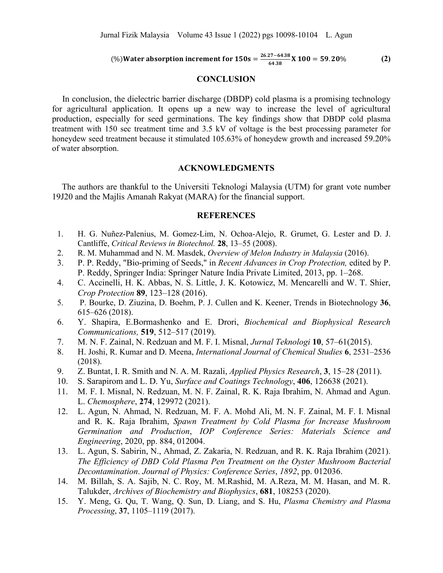$$
(\%) Water absorption increment for 150s = \frac{26.27 - 64.38}{64.38} \times 100 = 59.20\% \tag{2}
$$

## **CONCLUSION**

In conclusion, the dielectric barrier discharge (DBDP) cold plasma is a promising technology for agricultural application. It opens up a new way to increase the level of agricultural production, especially for seed germinations. The key findings show that DBDP cold plasma treatment with 150 sec treatment time and 3.5 kV of voltage is the best processing parameter for honeydew seed treatment because it stimulated 105.63% of honeydew growth and increased 59.20% of water absorption.

### **ACKNOWLEDGMENTS**

The authors are thankful to the Universiti Teknologi Malaysia (UTM) for grant vote number 19J20 and the Majlis Amanah Rakyat (MARA) for the financial support.

## **REFERENCES**

- 1. H. G. Nuñez-Palenius, M. Gomez-Lim, N. Ochoa-Alejo, R. Grumet, G. Lester and D. J. Cantliffe, *Critical Reviews in Biotechnol.* **28**, 13–55 (2008).
- 2. R. M. Muhammad and N. M. Masdek, *Overview of Melon Industry in Malaysia* (2016).
- 3. P. P. Reddy, "Bio-priming of Seeds," in *Recent Advances in Crop Protection,* edited by P. P. Reddy, Springer India: Springer Nature India Private Limited, 2013, pp. 1–268.
- 4. C. Accinelli, H. K. Abbas, N. S. Little, J. K. Kotowicz, M. Mencarelli and W. T. Shier, *Crop Protection* **89**, 123–128 (2016).
- 5. P. Bourke, D. Ziuzina, D. Boehm, P. J. Cullen and K. Keener, Trends in Biotechnology **36**, 615–626 (2018).
- 6. Y. Shapira, E.Bormashenko and E. Drori, *Biochemical and Biophysical Research Communications,* **519**, 512–517 (2019).
- 7. M. N. F. Zainal, N. Redzuan and M. F. I. Misnal, *Jurnal Teknologi* **10**, 57–61(2015).
- 8. H. Joshi, R. Kumar and D. Meena, *International Journal of Chemical Studies* **6**, 2531–2536 (2018).
- 9. Z. Buntat, I. R. Smith and N. A. M. Razali, *Applied Physics Research*, **3**, 15–28 (2011).
- 10. S. Sarapirom and L. D. Yu, *Surface and Coatings Technology*, **406**, 126638 (2021).
- 11. M. F. I. Misnal, N. Redzuan, M. N. F. Zainal, R. K. Raja Ibrahim, N. Ahmad and Agun. L. *Chemosphere*, **274**, 129972 (2021).
- 12. L. Agun, N. Ahmad, N. Redzuan, M. F. A. Mohd Ali, M. N. F. Zainal, M. F. I. Misnal and R. K. Raja Ibrahim, *Spawn Treatment by Cold Plasma for Increase Mushroom Germination and Production*, *IOP Conference Series: Materials Science and Engineering*, 2020, pp. 884, 012004.
- 13. L. Agun, S. Sabirin, N., Ahmad, Z. Zakaria, N. Redzuan, and R. K. Raja Ibrahim (2021). *The Efficiency of DBD Cold Plasma Pen Treatment on the Oyster Mushroom Bacterial Decontamination*. *Journal of Physics: Conference Series*, *1892*, pp. 012036.
- 14. M. Billah, S. A. Sajib, N. C. Roy, M. M.Rashid, M. A.Reza, M. M. Hasan, and M. R. Talukder, *Archives of Biochemistry and Biophysics*, **681**, 108253 (2020).
- 15. Y. Meng, G. Qu, T. Wang, Q. Sun, D. Liang, and S. Hu, *Plasma Chemistry and Plasma Processing*, **37**, 1105–1119 (2017).